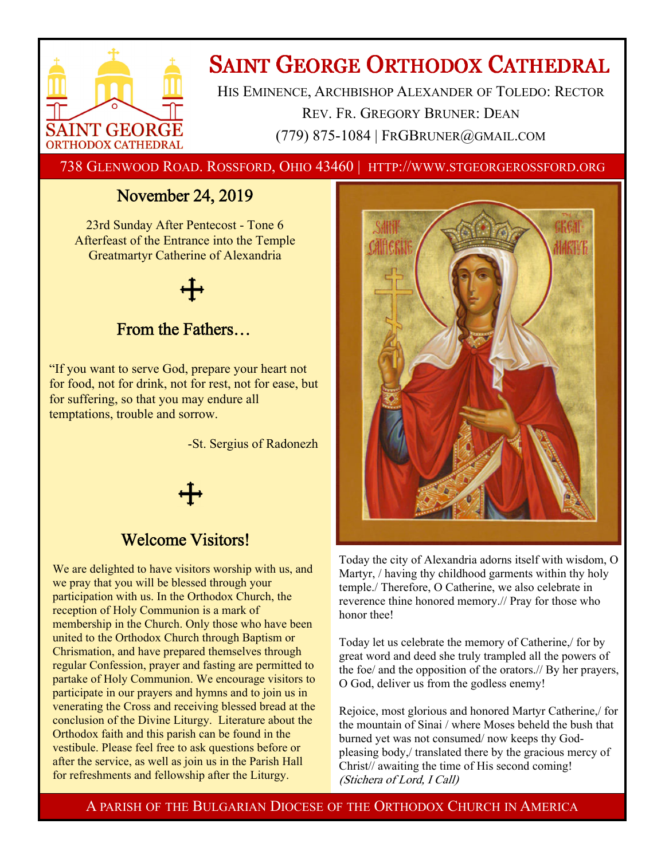

# **SAINT GEORGE ORTHODOX CATHEDRAL**

HIS EMINENCE, ARCHBISHOP ALEXANDER OF TOLEDO: RECTOR REV. FR. GREGORY BRUNER: DEAN (779) 875-1084 | FRGBRUNER@GMAIL.COM

738 GLENWOOD ROAD. ROSSFORD, OHIO 43460 | HTTP://WWW.STGEORGEROSSFORD.ORG

# November 24, 2019

23rd Sunday After Pentecost - Tone 6 Afterfeast of the Entrance into the Temple Greatmartyr Catherine of Alexandria

# From the Fathers…

"If you want to serve God, prepare your heart not for food, not for drink, not for rest, not for ease, but for suffering, so that you may endure all temptations, trouble and sorrow.

-St. Sergius of Radonezh



# Welcome Visitors!

We are delighted to have visitors worship with us, and we pray that you will be blessed through your participation with us. In the Orthodox Church, the reception of Holy Communion is a mark of membership in the Church. Only those who have been united to the Orthodox Church through Baptism or Chrismation, and have prepared themselves through regular Confession, prayer and fasting are permitted to partake of Holy Communion. We encourage visitors to participate in our prayers and hymns and to join us in venerating the Cross and receiving blessed bread at the conclusion of the Divine Liturgy. Literature about the Orthodox faith and this parish can be found in the vestibule. Please feel free to ask questions before or after the service, as well as join us in the Parish Hall for refreshments and fellowship after the Liturgy.



Today the city of Alexandria adorns itself with wisdom, O Martyr, / having thy childhood garments within thy holy temple./ Therefore, O Catherine, we also celebrate in reverence thine honored memory.// Pray for those who honor thee!

Today let us celebrate the memory of Catherine,/ for by great word and deed she truly trampled all the powers of the foe/ and the opposition of the orators.// By her prayers, O God, deliver us from the godless enemy!

Rejoice, most glorious and honored Martyr Catherine,/ for the mountain of Sinai / where Moses beheld the bush that burned yet was not consumed/ now keeps thy Godpleasing body,/ translated there by the gracious mercy of Christ// awaiting the time of His second coming! (Stichera of Lord, I Call)

A PARISH OF THE BULGARIAN DIOCESE OF THE ORTHODOX CHURCH IN AMERICA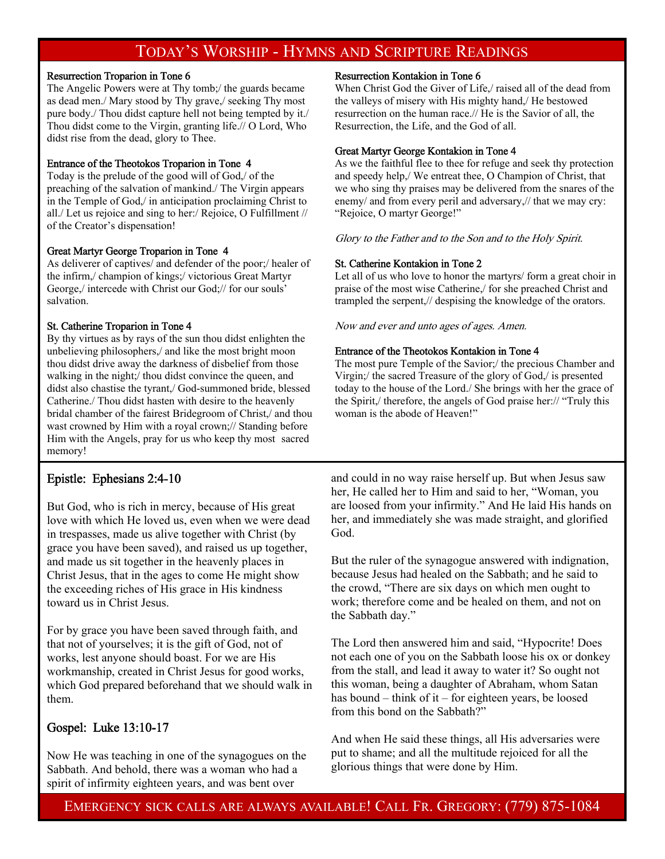# TODAY'S WORSHIP - HYMNS AND SCRIPTURE READINGS

#### Resurrection Troparion in Tone 6

The Angelic Powers were at Thy tomb;/ the guards became as dead men./ Mary stood by Thy grave,/ seeking Thy most pure body./ Thou didst capture hell not being tempted by it./ Thou didst come to the Virgin, granting life.// O Lord, Who didst rise from the dead, glory to Thee.

#### Entrance of the Theotokos Troparion in Tone 4

Today is the prelude of the good will of God,/ of the preaching of the salvation of mankind./ The Virgin appears in the Temple of God,/ in anticipation proclaiming Christ to all./ Let us rejoice and sing to her:/ Rejoice, O Fulfillment // of the Creator's dispensation!

#### Great Martyr George Troparion in Tone 4

As deliverer of captives/ and defender of the poor;/ healer of the infirm,/ champion of kings;/ victorious Great Martyr George,/ intercede with Christ our God;// for our souls' salvation.

#### St. Catherine Troparion in Tone 4

By thy virtues as by rays of the sun thou didst enlighten the unbelieving philosophers,/ and like the most bright moon thou didst drive away the darkness of disbelief from those walking in the night;/ thou didst convince the queen, and didst also chastise the tyrant,/ God-summoned bride, blessed Catherine./ Thou didst hasten with desire to the heavenly bridal chamber of the fairest Bridegroom of Christ,/ and thou wast crowned by Him with a royal crown;// Standing before Him with the Angels, pray for us who keep thy most sacred memory!

# Epistle: Ephesians 2:4-10

But God, who is rich in mercy, because of His great love with which He loved us, even when we were dead in trespasses, made us alive together with Christ (by grace you have been saved), and raised us up together, and made us sit together in the heavenly places in Christ Jesus, that in the ages to come He might show the exceeding riches of His grace in His kindness toward us in Christ Jesus.

For by grace you have been saved through faith, and that not of yourselves; it is the gift of God, not of works, lest anyone should boast. For we are His workmanship, created in Christ Jesus for good works, which God prepared beforehand that we should walk in them.

# Gospel: Luke 13:10-17

Now He was teaching in one of the synagogues on the Sabbath. And behold, there was a woman who had a spirit of infirmity eighteen years, and was bent over

#### Resurrection Kontakion in Tone 6

When Christ God the Giver of Life,/ raised all of the dead from the valleys of misery with His mighty hand,/ He bestowed resurrection on the human race.// He is the Savior of all, the Resurrection, the Life, and the God of all.

#### Great Martyr George Kontakion in Tone 4

As we the faithful flee to thee for refuge and seek thy protection and speedy help,/ We entreat thee, O Champion of Christ, that we who sing thy praises may be delivered from the snares of the enemy/ and from every peril and adversary,// that we may cry: "Rejoice, O martyr George!"

Glory to the Father and to the Son and to the Holy Spirit.

#### St. Catherine Kontakion in Tone 2

Let all of us who love to honor the martyrs/ form a great choir in praise of the most wise Catherine,/ for she preached Christ and trampled the serpent,// despising the knowledge of the orators.

Now and ever and unto ages of ages. Amen.

#### Entrance of the Theotokos Kontakion in Tone 4

The most pure Temple of the Savior;/ the precious Chamber and Virgin;/ the sacred Treasure of the glory of God,/ is presented today to the house of the Lord./ She brings with her the grace of the Spirit,/ therefore, the angels of God praise her:// "Truly this woman is the abode of Heaven!"

and could in no way raise herself up. But when Jesus saw her, He called her to Him and said to her, "Woman, you are loosed from your infirmity." And He laid His hands on her, and immediately she was made straight, and glorified God.

But the ruler of the synagogue answered with indignation, because Jesus had healed on the Sabbath; and he said to the crowd, "There are six days on which men ought to work; therefore come and be healed on them, and not on the Sabbath day."

The Lord then answered him and said, "Hypocrite! Does not each one of you on the Sabbath loose his ox or donkey from the stall, and lead it away to water it? So ought not this woman, being a daughter of Abraham, whom Satan has bound – think of it – for eighteen years, be loosed from this bond on the Sabbath?"

And when He said these things, all His adversaries were put to shame; and all the multitude rejoiced for all the glorious things that were done by Him.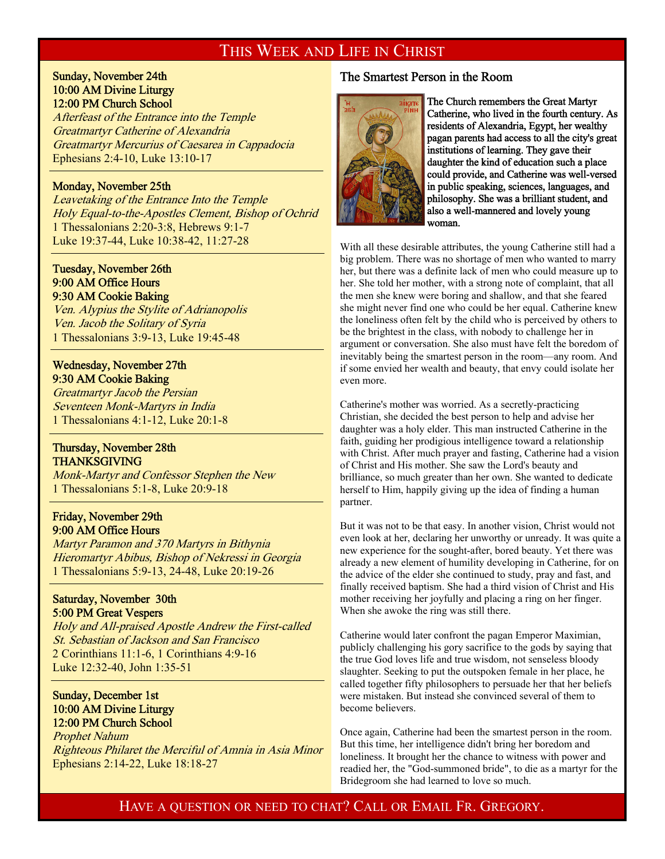# THIS WEEK AND LIFE IN CHRIST

Sunday, November 24th 10:00 AM Divine Liturgy 12:00 PM Church School

Afterfeast of the Entrance into the Temple Greatmartyr Catherine of Alexandria Greatmartyr Mercurius of Caesarea in Cappadocia Ephesians 2:4-10, Luke 13:10-17

#### Monday, November 25th

Ī

 $\overline{1}$ 

 $\overline{a}$ 

 $\overline{a}$ 

Leavetaking of the Entrance Into the Temple Holy Equal-to-the-Apostles Clement, Bishop of Ochrid 1 Thessalonians 2:20-3:8, Hebrews 9:1-7 Luke 19:37-44, Luke 10:38-42, 11:27-28

#### Tuesday, November 26th 9:00 AM Office Hours 9:30 AM Cookie Baking

Ven. Alypius the Stylite of Adrianopolis Ven. Jacob the Solitary of Syria 1 Thessalonians 3:9-13, Luke 19:45-48

# Wednesday, November 27th 9:30 AM Cookie Baking

Greatmartyr Jacob the Persian Seventeen Monk-Martyrs in India 1 Thessalonians 4:1-12, Luke 20:1-8

#### Thursday, November 28th THANKSGIVING

Monk-Martyr and Confessor Stephen the New 1 Thessalonians 5:1-8, Luke 20:9-18

### Friday, November 29th 9:00 AM Office Hours

Martyr Paramon and 370 Martyrs in Bithynia Hieromartyr Abibus, Bishop of Nekressi in Georgia 1 Thessalonians 5:9-13, 24-48, Luke 20:19-26

### Saturday, November 30th 5:00 PM Great Vespers

Holy and All-praised Apostle Andrew the First-called St. Sebastian of Jackson and San Francisco 2 Corinthians 11:1-6, 1 Corinthians 4:9-16 Luke 12:32-40, John 1:35-51

#### Sunday, December 1st 10:00 AM Divine Liturgy 12:00 PM Church School

Prophet Nahum Righteous Philaret the Merciful of Amnia in Asia Minor Ephesians 2:14-22, Luke 18:18-27

## The Smartest Person in the Room



The Church remembers the Great Martyr Catherine, who lived in the fourth century. As residents of Alexandria, Egypt, her wealthy pagan parents had access to all the city's great institutions of learning. They gave their daughter the kind of education such a place could provide, and Catherine was well-versed in public speaking, sciences, languages, and philosophy. She was a brilliant student, and also a well-mannered and lovely young woman.

With all these desirable attributes, the young Catherine still had a big problem. There was no shortage of men who wanted to marry her, but there was a definite lack of men who could measure up to her. She told her mother, with a strong note of complaint, that all the men she knew were boring and shallow, and that she feared she might never find one who could be her equal. Catherine knew the loneliness often felt by the child who is perceived by others to be the brightest in the class, with nobody to challenge her in argument or conversation. She also must have felt the boredom of inevitably being the smartest person in the room—any room. And if some envied her wealth and beauty, that envy could isolate her even more.

Catherine's mother was worried. As a secretly-practicing Christian, she decided the best person to help and advise her daughter was a holy elder. This man instructed Catherine in the faith, guiding her prodigious intelligence toward a relationship with Christ. After much prayer and fasting, Catherine had a vision of Christ and His mother. She saw the Lord's beauty and brilliance, so much greater than her own. She wanted to dedicate herself to Him, happily giving up the idea of finding a human partner.

But it was not to be that easy. In another vision, Christ would not even look at her, declaring her unworthy or unready. It was quite a new experience for the sought-after, bored beauty. Yet there was already a new element of humility developing in Catherine, for on the advice of the elder she continued to study, pray and fast, and finally received baptism. She had a third vision of Christ and His mother receiving her joyfully and placing a ring on her finger. When she awoke the ring was still there.

Catherine would later confront the pagan Emperor Maximian, publicly challenging his gory sacrifice to the gods by saying that the true God loves life and true wisdom, not senseless bloody slaughter. Seeking to put the outspoken female in her place, he called together fifty philosophers to persuade her that her beliefs were mistaken. But instead she convinced several of them to become believers.

Once again, Catherine had been the smartest person in the room. But this time, her intelligence didn't bring her boredom and loneliness. It brought her the chance to witness with power and readied her, the "God-summoned bride", to die as a martyr for the Bridegroom she had learned to love so much.

HAVE A QUESTION OR NEED TO CHAT? CALL OR EMAIL FR. GREGORY.